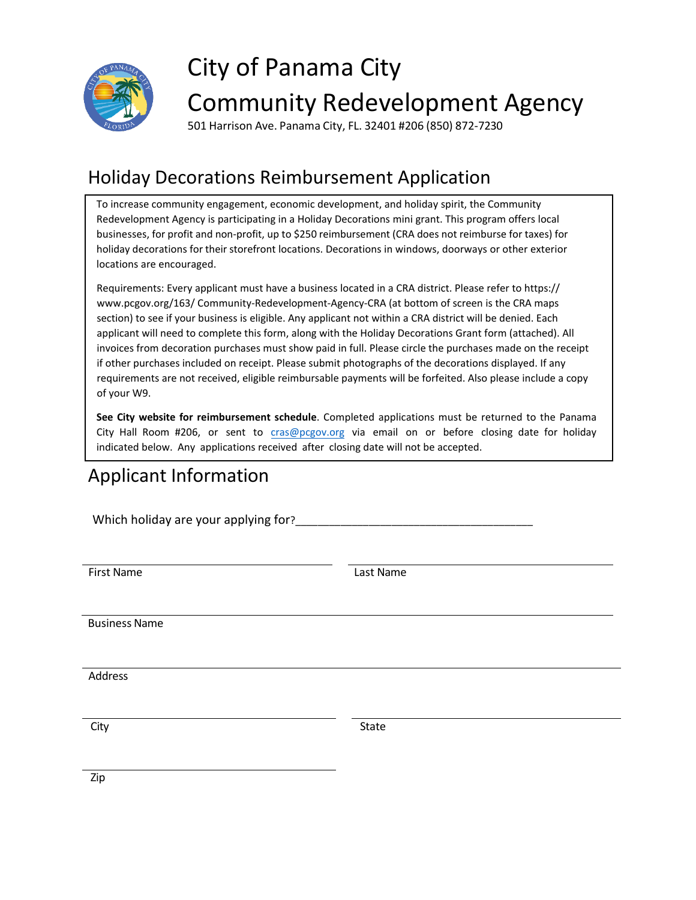

# City of Panama City

## Community Redevelopment Agency

501 Harrison Ave. Panama City, FL. 32401 #206 (850) 872-7230

### Holiday Decorations Reimbursement Application

To increase community engagement, economic development, and holiday spirit, the Community Redevelopment Agency is participating in a Holiday Decorations mini grant. This program offers local businesses, for profit and non-profit, up to \$250 reimbursement (CRA does not reimburse for taxes) for holiday decorations for their storefront locations. Decorations in windows, doorways or other exterior locations are encouraged.

Requirements: Every applicant must have a business located in a CRA district. Please refer to https:// www.pcgov.org/163/ Community-Redevelopment-Agency-CRA (at bottom of screen is the CRA maps section) to see if your business is eligible. Any applicant not within a CRA district will be denied. Each applicant will need to complete this form, along with the Holiday Decorations Grant form (attached). All invoices from decoration purchases must show paid in full. Please circl[e the purchases made on the re](http://www.pcgov.org/163/)ceipt if other purchases included on receipt. Please submit photographs of the decorations displayed. If any requirements are not received, eligible reimbursable payments will be forfeited. Also please include a copy of your W9.

**See City website for reimbursement schedule**. Completed applications must be returned to the Panama City Hall Room #206, or sent to [cras@pcgov.org](mailto:cdwilliams@pcgov.org) via email on or before closing date for holiday indicated below. Any applications received after closing date will not be accepted.

## Applicant Information

Which holiday are your applying for?

First Name Last Name

Business Name

Address

City **State** State State State State State State

Zip